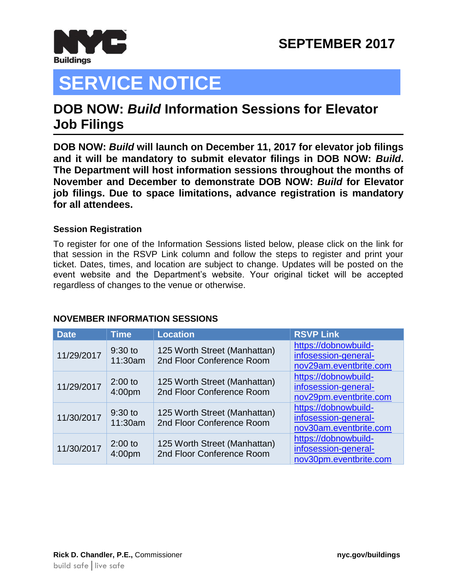

# **SERVICE NOTICE**

### **DOB NOW:** *Build* **Information Sessions for Elevator Job Filings JOP NOW.**

**DOB NOW:** *Build* **will launch on December 11, 2017 for elevator job filings and it will be mandatory to submit elevator filings in DOB NOW:** *Build***. The Department will host information sessions throughout the months of November and December to demonstrate DOB NOW:** *Build* **for Elevator job filings. Due to space limitations, advance registration is mandatory for all attendees.**

#### **Session Registration**

To register for one of the Information Sessions listed below, please click on the link for that session in the RSVP Link column and follow the steps to register and print your ticket. Dates, times, and location are subject to change. Updates will be posted on the event website and the Department's website. Your original ticket will be accepted regardless of changes to the venue or otherwise.

#### **NOVEMBER INFORMATION SESSIONS**

| <b>Date</b> | <b>Time</b>                     | <b>Location</b>                                           | <b>RSVP Link</b>                                                       |
|-------------|---------------------------------|-----------------------------------------------------------|------------------------------------------------------------------------|
| 11/29/2017  | $9:30$ to<br>11:30am            | 125 Worth Street (Manhattan)<br>2nd Floor Conference Room | https://dobnowbuild-<br>infosession-general-<br>nov29am.eventbrite.com |
| 11/29/2017  | $2:00$ to<br>4:00pm             | 125 Worth Street (Manhattan)<br>2nd Floor Conference Room | https://dobnowbuild-<br>infosession-general-<br>nov29pm.eventbrite.com |
| 11/30/2017  | $9:30$ to<br>11:30am            | 125 Worth Street (Manhattan)<br>2nd Floor Conference Room | https://dobnowbuild-<br>infosession-general-<br>nov30am.eventbrite.com |
| 11/30/2017  | $2:00$ to<br>4:00 <sub>pm</sub> | 125 Worth Street (Manhattan)<br>2nd Floor Conference Room | https://dobnowbuild-<br>infosession-general-<br>nov30pm.eventbrite.com |